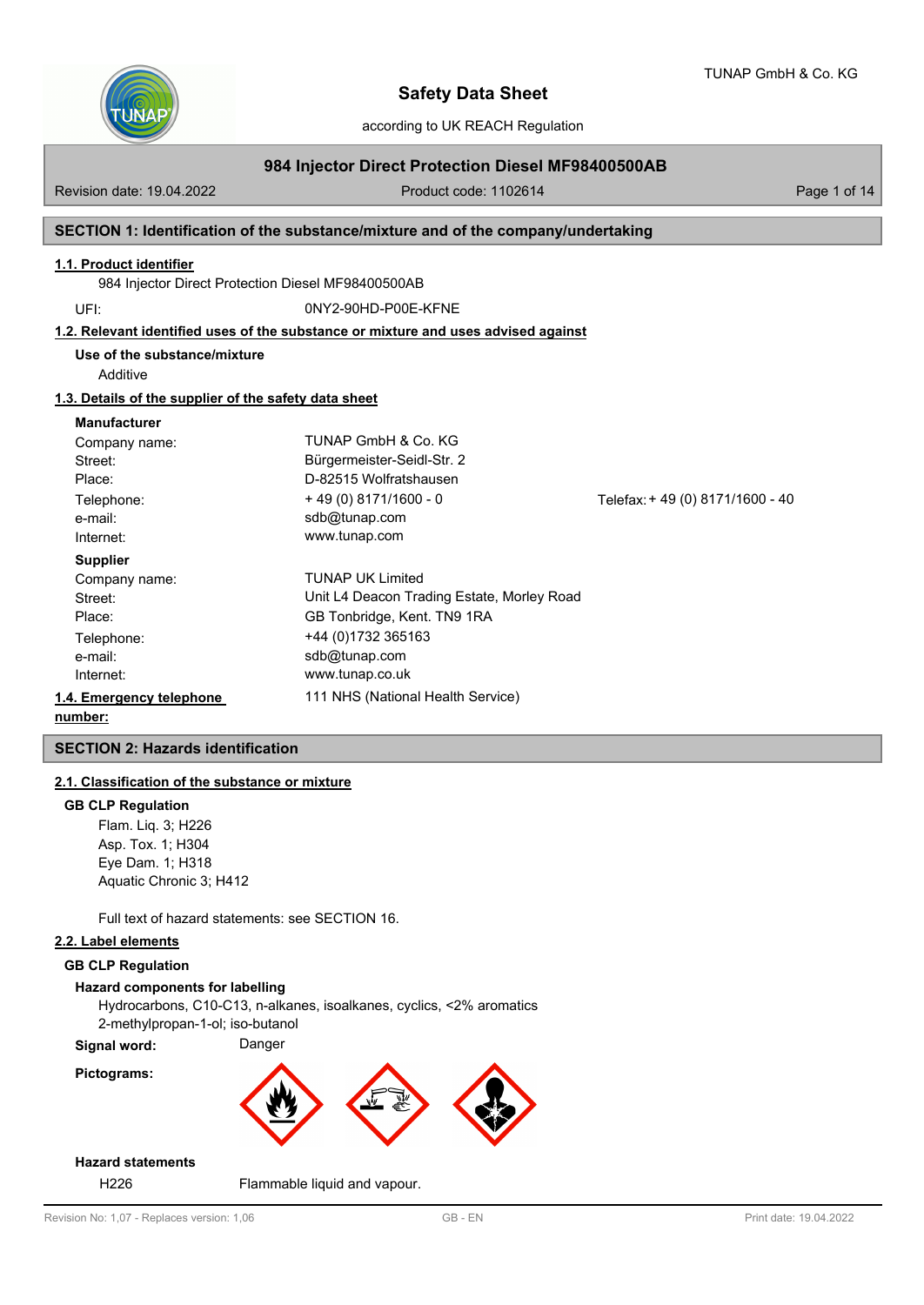

according to UK REACH Regulation

# **984 Injector Direct Protection Diesel MF98400500AB**

Revision date: 19.04.2022 **Product code: 1102614** Page 1 of 14

## **SECTION 1: Identification of the substance/mixture and of the company/undertaking**

#### **1.1. Product identifier**

984 Injector Direct Protection Diesel MF98400500AB

UFI: 0NY2-90HD-P00E-KFNE

### **1.2. Relevant identified uses of the substance or mixture and uses advised against**

**Use of the substance/mixture**

Additive

#### **1.3. Details of the supplier of the safety data sheet**

#### **Manufacturer**

| Company name:            | TUNAP GmbH & Co. KG                        |                                |
|--------------------------|--------------------------------------------|--------------------------------|
| Street:                  | Bürgermeister-Seidl-Str. 2                 |                                |
| Place:                   | D-82515 Wolfratshausen                     |                                |
| Telephone:               | $+49(0)8171/1600 - 0$                      | Telefax: +49 (0) 8171/1600 -40 |
| e-mail:                  | sdb@tunap.com                              |                                |
| Internet:                | www.tunap.com                              |                                |
| <b>Supplier</b>          |                                            |                                |
| Company name:            | <b>TUNAP UK Limited</b>                    |                                |
| Street:                  | Unit L4 Deacon Trading Estate, Morley Road |                                |
| Place:                   | GB Tonbridge, Kent. TN9 1RA                |                                |
| Telephone:               | +44 (0) 1732 365163                        |                                |
| e-mail:                  | sdb@tunap.com                              |                                |
| Internet:                | www.tunap.co.uk                            |                                |
| 1.4. Emergency telephone | 111 NHS (National Health Service)          |                                |
| .                        |                                            |                                |

# **number:**

## **SECTION 2: Hazards identification**

## **2.1. Classification of the substance or mixture**

#### **GB CLP Regulation**

Flam. Liq. 3; H226 Asp. Tox. 1; H304 Eye Dam. 1; H318 Aquatic Chronic 3; H412

Full text of hazard statements: see SECTION 16.

### **2.2. Label elements**

## **GB CLP Regulation**

#### **Hazard components for labelling**

Hydrocarbons, C10-C13, n-alkanes, isoalkanes, cyclics, <2% aromatics 2-methylpropan-1-ol; iso-butanol

**Signal word:** Danger

# **Pictograms:**



# **Hazard statements**

H226 Flammable liquid and vapour.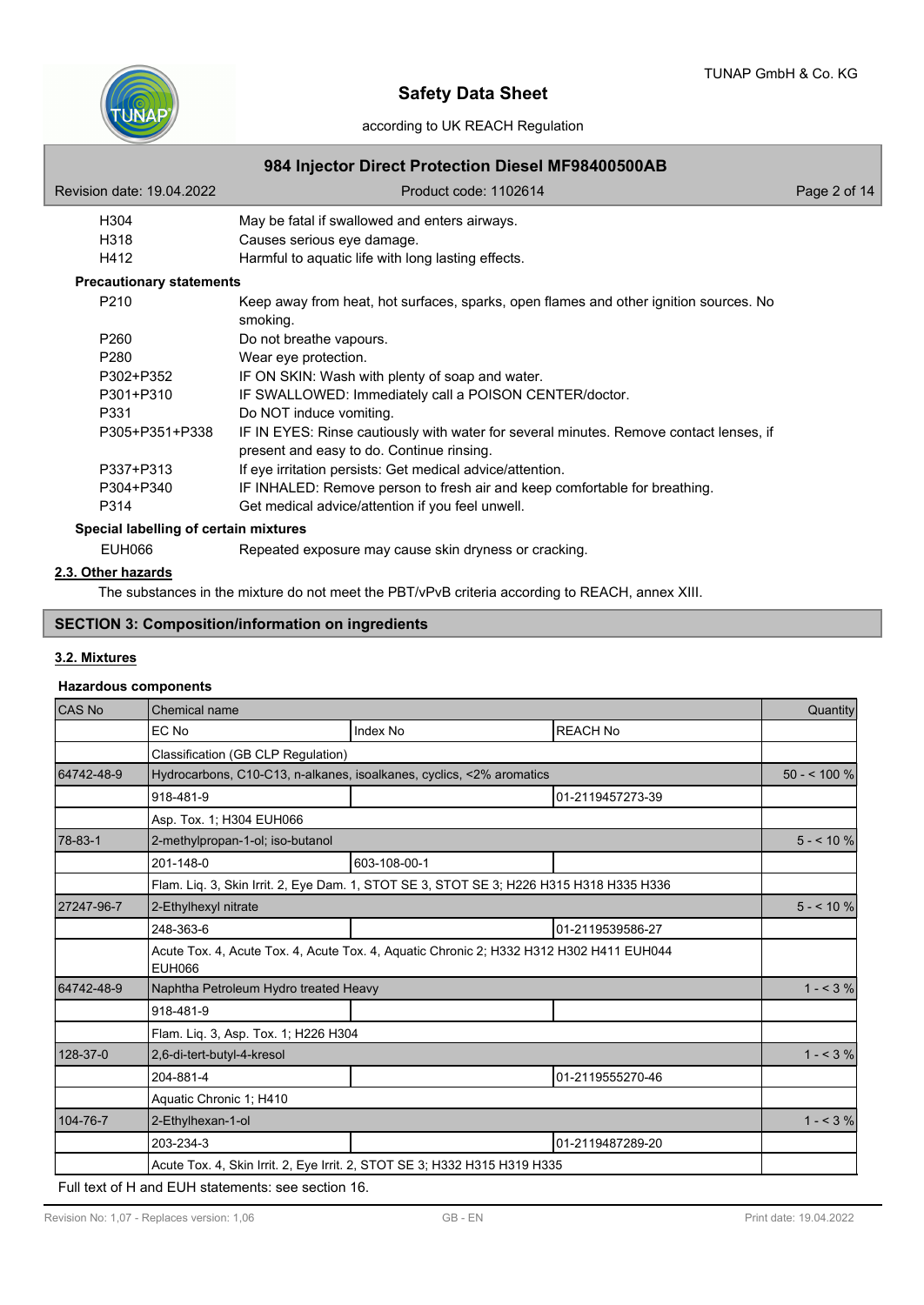

# according to UK REACH Regulation

| Revision date: 19.04.2022             | Product code: 1102614                                                                                                               | Page 2 of 14 |
|---------------------------------------|-------------------------------------------------------------------------------------------------------------------------------------|--------------|
| H304                                  | May be fatal if swallowed and enters airways.                                                                                       |              |
| H318                                  | Causes serious eye damage.                                                                                                          |              |
| H412                                  | Harmful to aquatic life with long lasting effects.                                                                                  |              |
| <b>Precautionary statements</b>       |                                                                                                                                     |              |
| P <sub>210</sub>                      | Keep away from heat, hot surfaces, sparks, open flames and other ignition sources. No<br>smoking.                                   |              |
| P <sub>260</sub>                      | Do not breathe vapours.                                                                                                             |              |
| P280                                  | Wear eye protection.                                                                                                                |              |
| P302+P352                             | IF ON SKIN: Wash with plenty of soap and water.                                                                                     |              |
| P301+P310                             | IF SWALLOWED: Immediately call a POISON CENTER/doctor.                                                                              |              |
| P331                                  | Do NOT induce vomiting.                                                                                                             |              |
| P305+P351+P338                        | IF IN EYES: Rinse cautiously with water for several minutes. Remove contact lenses, if<br>present and easy to do. Continue rinsing. |              |
| P337+P313                             | If eye irritation persists: Get medical advice/attention.                                                                           |              |
| P304+P340                             | IF INHALED: Remove person to fresh air and keep comfortable for breathing.                                                          |              |
| P314                                  | Get medical advice/attention if you feel unwell.                                                                                    |              |
| Special labelling of certain mixtures |                                                                                                                                     |              |
| <b>EUH066</b>                         | Repeated exposure may cause skin dryness or cracking.                                                                               |              |

## **2.3. Other hazards**

The substances in the mixture do not meet the PBT/vPvB criteria according to REACH, annex XIII.

# **SECTION 3: Composition/information on ingredients**

# **3.2. Mixtures**

## **Hazardous components**

| CAS No     | <b>Chemical name</b>                                                                                     |                                                                                         |                  | Quantity     |  |
|------------|----------------------------------------------------------------------------------------------------------|-----------------------------------------------------------------------------------------|------------------|--------------|--|
|            | EC No                                                                                                    | <b>Index No</b>                                                                         | <b>REACH No</b>  |              |  |
|            | Classification (GB CLP Regulation)                                                                       |                                                                                         |                  |              |  |
| 64742-48-9 |                                                                                                          | Hydrocarbons, C10-C13, n-alkanes, isoalkanes, cyclics, <2% aromatics                    |                  | $50 - 100 %$ |  |
|            | 918-481-9                                                                                                |                                                                                         | 01-2119457273-39 |              |  |
|            | Asp. Tox. 1; H304 EUH066                                                                                 |                                                                                         |                  |              |  |
| 78-83-1    | 2-methylpropan-1-ol; iso-butanol                                                                         |                                                                                         |                  | $5 - 10%$    |  |
|            | 201-148-0                                                                                                | 603-108-00-1                                                                            |                  |              |  |
|            |                                                                                                          | Flam. Liq. 3, Skin Irrit. 2, Eye Dam. 1, STOT SE 3, STOT SE 3; H226 H315 H318 H335 H336 |                  |              |  |
| 27247-96-7 | 2-Ethylhexyl nitrate                                                                                     |                                                                                         |                  | $5 - 10\%$   |  |
|            | 248-363-6                                                                                                |                                                                                         | 01-2119539586-27 |              |  |
|            | Acute Tox. 4, Acute Tox. 4, Acute Tox. 4, Aquatic Chronic 2; H332 H312 H302 H411 EUH044<br><b>EUH066</b> |                                                                                         |                  |              |  |
| 64742-48-9 | Naphtha Petroleum Hydro treated Heavy                                                                    |                                                                                         |                  | $1 - 3\%$    |  |
|            | 918-481-9                                                                                                |                                                                                         |                  |              |  |
|            | Flam. Lig. 3, Asp. Tox. 1; H226 H304                                                                     |                                                                                         |                  |              |  |
| 128-37-0   | 2,6-di-tert-butyl-4-kresol                                                                               |                                                                                         |                  | $1 - 53%$    |  |
|            | 204-881-4                                                                                                |                                                                                         | 01-2119555270-46 |              |  |
|            | Aquatic Chronic 1; H410                                                                                  |                                                                                         |                  |              |  |
| 104-76-7   | 2-Ethylhexan-1-ol                                                                                        |                                                                                         |                  | $1 - 3%$     |  |
|            | 203-234-3                                                                                                |                                                                                         | 01-2119487289-20 |              |  |
|            | Acute Tox. 4, Skin Irrit. 2, Eye Irrit. 2, STOT SE 3; H332 H315 H319 H335                                |                                                                                         |                  |              |  |

Full text of H and EUH statements: see section 16.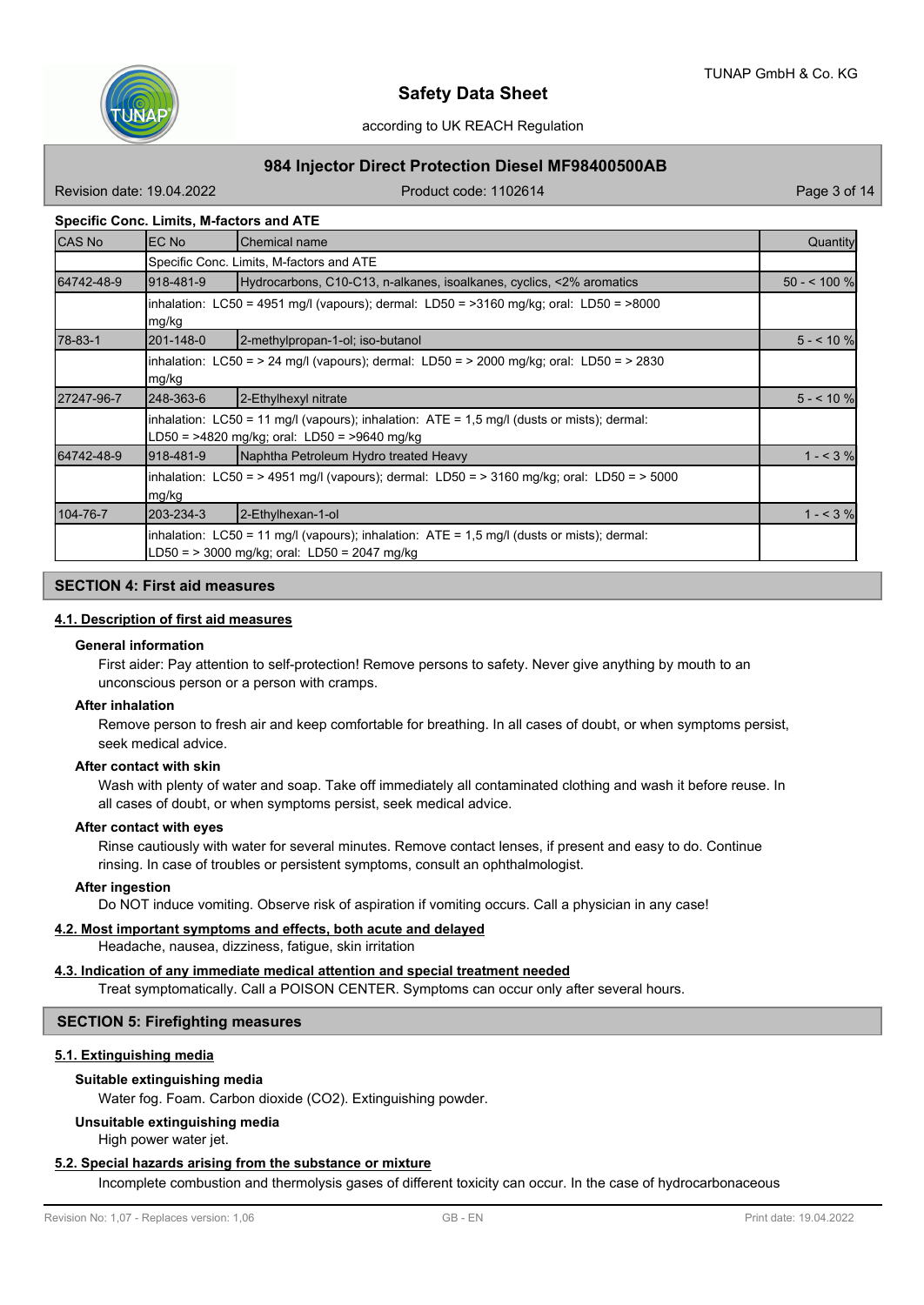

# **984 Injector Direct Protection Diesel MF98400500AB**

Revision date: 19.04.2022 **Product code: 1102614** Page 3 of 14

### **Specific Conc. Limits, M-factors and ATE**

| <b>CAS No</b> | EC No                                                                                               | Chemical name                                                                                                                                      | Quantity     |  |
|---------------|-----------------------------------------------------------------------------------------------------|----------------------------------------------------------------------------------------------------------------------------------------------------|--------------|--|
|               |                                                                                                     | Specific Conc. Limits, M-factors and ATE                                                                                                           |              |  |
| 64742-48-9    | 918-481-9                                                                                           | Hydrocarbons, C10-C13, n-alkanes, isoalkanes, cyclics, <2% aromatics                                                                               | $50 - 100$ % |  |
|               | mg/kg                                                                                               | linhalation: LC50 = 4951 mg/l (vapours); dermal: LD50 = >3160 mg/kg; oral: LD50 = >8000                                                            |              |  |
| 78-83-1       | 201-148-0                                                                                           | 2-methylpropan-1-ol; iso-butanol                                                                                                                   | $5 - 10$ %   |  |
|               | mg/kg                                                                                               | inhalation: LC50 = > 24 mg/l (vapours); dermal: LD50 = > 2000 mg/kg; oral: LD50 = > 2830                                                           |              |  |
| 27247-96-7    | 248-363-6                                                                                           | 2-Ethylhexyl nitrate                                                                                                                               | $5 - 10$ %   |  |
|               |                                                                                                     | inhalation: $LC50 = 11$ mg/l (vapours); inhalation: $ATE = 1.5$ mg/l (dusts or mists); dermal:<br>LD50 = >4820 mg/kg; oral: LD50 = >9640 mg/kg     |              |  |
| 64742-48-9    | 918-481-9                                                                                           | Naphtha Petroleum Hydro treated Heavy                                                                                                              | $1 - 3%$     |  |
|               | inhalation: LC50 = > 4951 mg/l (vapours); dermal: LD50 = > 3160 mg/kg; oral: LD50 = > 5000<br>mg/kg |                                                                                                                                                    |              |  |
| 104-76-7      | 203-234-3                                                                                           | 2-Ethylhexan-1-ol                                                                                                                                  | $1 - 3%$     |  |
|               |                                                                                                     | inhalation: $LC50 = 11$ mg/l (vapours); inhalation: $ATE = 1.5$ mg/l (dusts or mists); dermal:<br>$LD50 =$ > 3000 mg/kg; oral: $LD50 = 2047$ mg/kg |              |  |

#### **SECTION 4: First aid measures**

#### **4.1. Description of first aid measures**

#### **General information**

First aider: Pay attention to self-protection! Remove persons to safety. Never give anything by mouth to an unconscious person or a person with cramps.

#### **After inhalation**

Remove person to fresh air and keep comfortable for breathing. In all cases of doubt, or when symptoms persist, seek medical advice.

#### **After contact with skin**

Wash with plenty of water and soap. Take off immediately all contaminated clothing and wash it before reuse. In all cases of doubt, or when symptoms persist, seek medical advice.

#### **After contact with eyes**

Rinse cautiously with water for several minutes. Remove contact lenses, if present and easy to do. Continue rinsing. In case of troubles or persistent symptoms, consult an ophthalmologist.

#### **After ingestion**

Do NOT induce vomiting. Observe risk of aspiration if vomiting occurs. Call a physician in any case!

# **4.2. Most important symptoms and effects, both acute and delayed**

Headache, nausea, dizziness, fatigue, skin irritation

## **4.3. Indication of any immediate medical attention and special treatment needed**

Treat symptomatically. Call a POISON CENTER. Symptoms can occur only after several hours.

### **SECTION 5: Firefighting measures**

#### **5.1. Extinguishing media**

# **Suitable extinguishing media**

Water fog. Foam. Carbon dioxide (CO2). Extinguishing powder.

#### **Unsuitable extinguishing media**

High power water jet.

## **5.2. Special hazards arising from the substance or mixture**

Incomplete combustion and thermolysis gases of different toxicity can occur. In the case of hydrocarbonaceous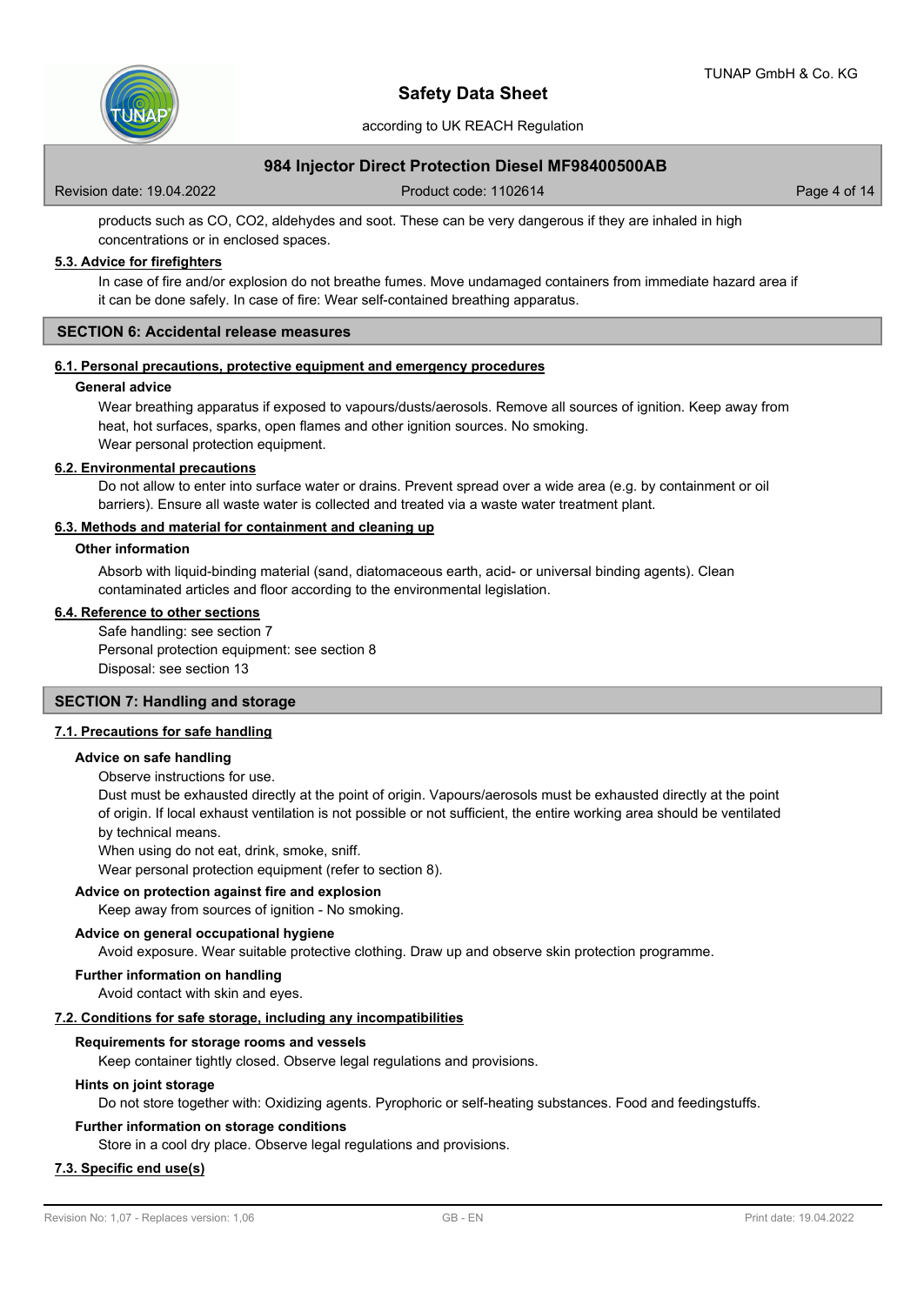

according to UK REACH Regulation

# **984 Injector Direct Protection Diesel MF98400500AB**

Revision date: 19.04.2022 **Product code: 1102614** Page 4 of 14

products such as CO, CO2, aldehydes and soot. These can be very dangerous if they are inhaled in high concentrations or in enclosed spaces.

#### **5.3. Advice for firefighters**

In case of fire and/or explosion do not breathe fumes. Move undamaged containers from immediate hazard area if it can be done safely. In case of fire: Wear self-contained breathing apparatus.

#### **SECTION 6: Accidental release measures**

## **6.1. Personal precautions, protective equipment and emergency procedures**

#### **General advice**

Wear breathing apparatus if exposed to vapours/dusts/aerosols. Remove all sources of ignition. Keep away from heat, hot surfaces, sparks, open flames and other ignition sources. No smoking. Wear personal protection equipment.

#### **6.2. Environmental precautions**

Do not allow to enter into surface water or drains. Prevent spread over a wide area (e.g. by containment or oil barriers). Ensure all waste water is collected and treated via a waste water treatment plant.

#### **6.3. Methods and material for containment and cleaning up**

#### **Other information**

Absorb with liquid-binding material (sand, diatomaceous earth, acid- or universal binding agents). Clean contaminated articles and floor according to the environmental legislation.

#### **6.4. Reference to other sections**

Safe handling: see section 7 Personal protection equipment: see section 8 Disposal: see section 13

#### **SECTION 7: Handling and storage**

#### **7.1. Precautions for safe handling**

#### **Advice on safe handling**

Observe instructions for use.

Dust must be exhausted directly at the point of origin. Vapours/aerosols must be exhausted directly at the point of origin. If local exhaust ventilation is not possible or not sufficient, the entire working area should be ventilated by technical means.

When using do not eat, drink, smoke, sniff.

Wear personal protection equipment (refer to section 8).

#### **Advice on protection against fire and explosion**

Keep away from sources of ignition - No smoking.

#### **Advice on general occupational hygiene**

Avoid exposure. Wear suitable protective clothing. Draw up and observe skin protection programme.

**Further information on handling**

Avoid contact with skin and eyes.

#### **7.2. Conditions for safe storage, including any incompatibilities**

#### **Requirements for storage rooms and vessels**

Keep container tightly closed. Observe legal regulations and provisions.

#### **Hints on joint storage**

Do not store together with: Oxidizing agents. Pyrophoric or self-heating substances. Food and feedingstuffs.

#### **Further information on storage conditions**

Store in a cool dry place. Observe legal regulations and provisions.

#### **7.3. Specific end use(s)**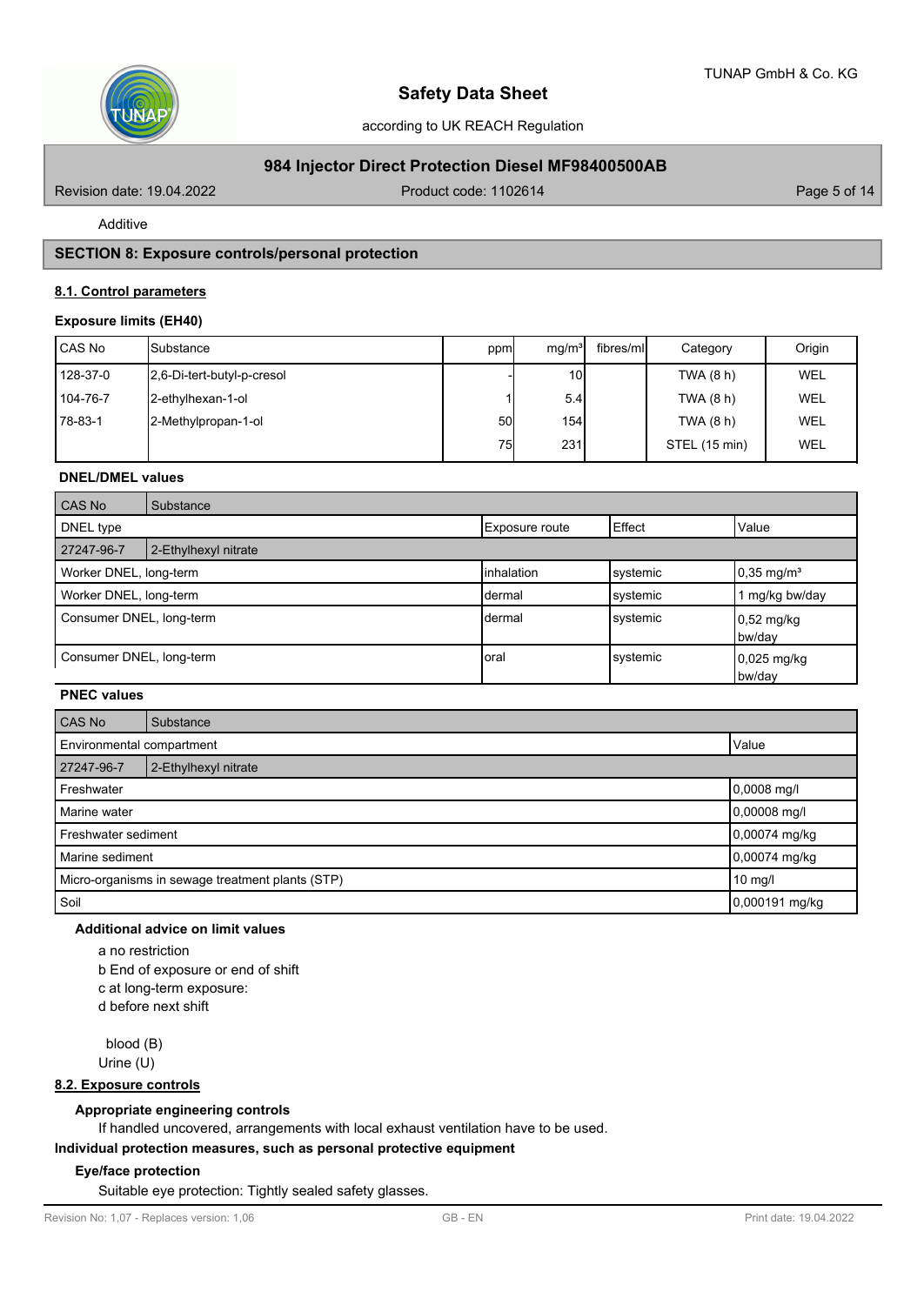

# **984 Injector Direct Protection Diesel MF98400500AB**

Revision date: 19.04.2022 **Product code: 1102614** Page 5 of 14

Additive

# **SECTION 8: Exposure controls/personal protection**

### **8.1. Control parameters**

#### **Exposure limits (EH40)**

| l CAS No | <b>I</b> Substance         | ppm | mq/m <sup>3</sup> | fibres/ml | Category      | Origin     |
|----------|----------------------------|-----|-------------------|-----------|---------------|------------|
| 128-37-0 | 2,6-Di-tert-butyl-p-cresol |     | 10 <sup>1</sup>   |           | TWA (8 h)     | <b>WEL</b> |
| 104-76-7 | 2-ethylhexan-1-ol          |     | 5.4               |           | TWA (8 h)     | <b>WEL</b> |
| 78-83-1  | 2-Methylpropan-1-ol        | 50I | 154               |           | TWA (8 h)     | <b>WEL</b> |
|          |                            | 75  | 231               |           | STEL (15 min) | WEL        |

#### **DNEL/DMEL values**

| CAS No                                        | Substance            |             |          |                                |
|-----------------------------------------------|----------------------|-------------|----------|--------------------------------|
| Effect<br>DNEL type<br>Exposure route         |                      |             | Value    |                                |
| 27247-96-7                                    | 2-Ethylhexyl nitrate |             |          |                                |
| Worker DNEL, long-term                        |                      | linhalation | systemic | $10,35 \text{ mg/m}^3$         |
| Worker DNEL, long-term<br>systemic<br>ldermal |                      |             |          | mg/kg bw/day                   |
| Consumer DNEL, long-term                      |                      | Idermal     | systemic | $0,52 \text{ mg/kg}$<br>bw/day |
| Consumer DNEL, long-term                      |                      | Ioral       | systemic | $0.025$ mg/kg<br>bw/day        |

# **PNEC values**

| CAS No                                           | Substance                            |                |  |
|--------------------------------------------------|--------------------------------------|----------------|--|
|                                                  | Value<br>Environmental compartment   |                |  |
| 27247-96-7                                       | 2-Ethylhexyl nitrate                 |                |  |
| Freshwater                                       | $0,0008$ mg/l                        |                |  |
| 0,00008 mg/l<br>Marine water                     |                                      |                |  |
|                                                  | 0,00074 mg/kg<br>Freshwater sediment |                |  |
| Marine sediment                                  |                                      | 0,00074 mg/kg  |  |
| Micro-organisms in sewage treatment plants (STP) |                                      | 10 mg/l        |  |
| Soil                                             |                                      | 0,000191 mg/kg |  |

## **Additional advice on limit values**

a no restriction b End of exposure or end of shift c at long-term exposure: d before next shift

 blood (B) Urine (U)

## **8.2. Exposure controls**

#### **Appropriate engineering controls**

If handled uncovered, arrangements with local exhaust ventilation have to be used.

**Individual protection measures, such as personal protective equipment**

#### **Eye/face protection**

Suitable eye protection: Tightly sealed safety glasses.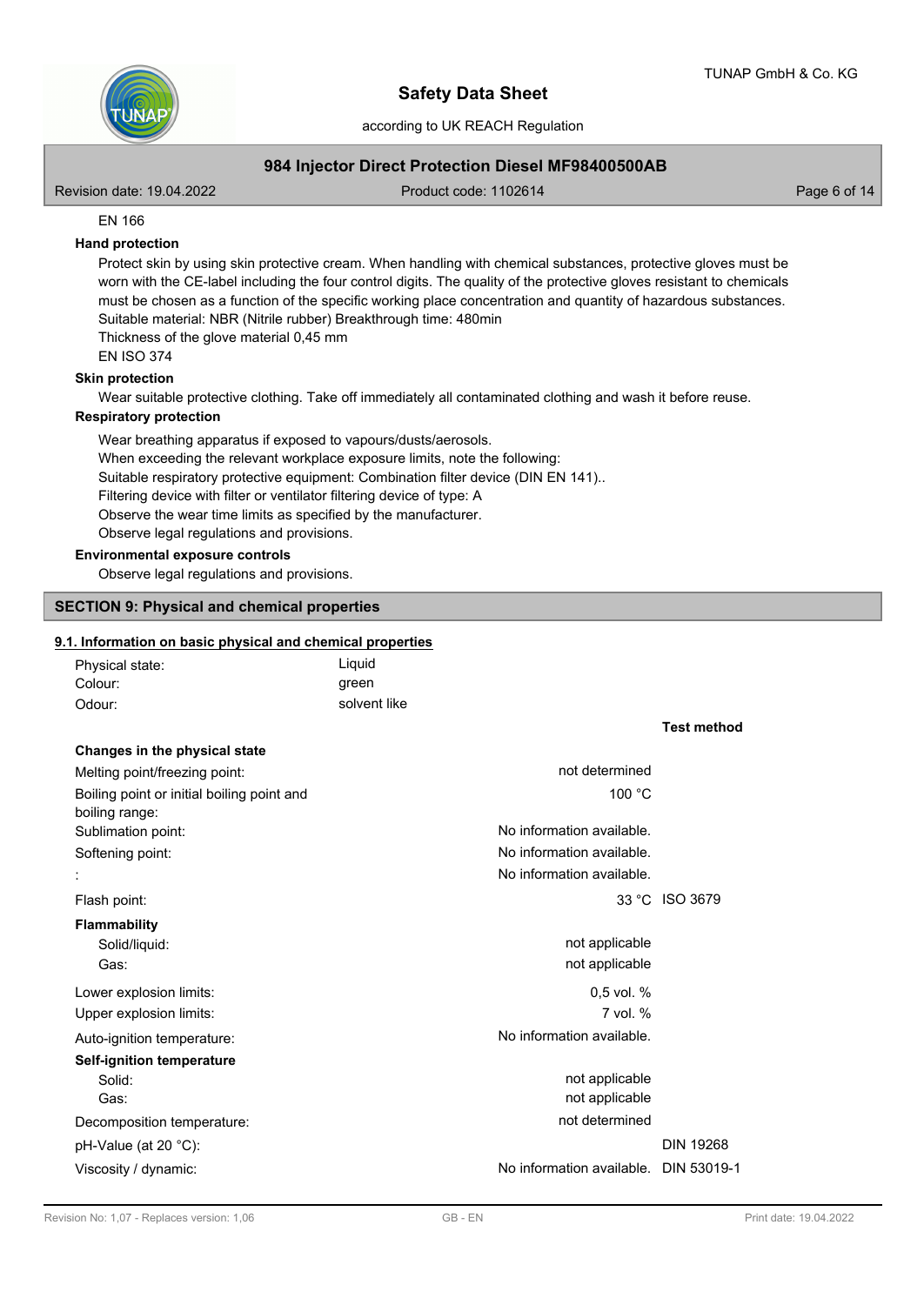according to UK REACH Regulation

# **984 Injector Direct Protection Diesel MF98400500AB**

Revision date: 19.04.2022 **Product code: 1102614** Page 6 of 14

EN 166

#### **Hand protection**

Protect skin by using skin protective cream. When handling with chemical substances, protective gloves must be worn with the CE-label including the four control digits. The quality of the protective gloves resistant to chemicals must be chosen as a function of the specific working place concentration and quantity of hazardous substances. Suitable material: NBR (Nitrile rubber) Breakthrough time: 480min Thickness of the glove material 0,45 mm

EN ISO 374

#### **Skin protection**

Wear suitable protective clothing. Take off immediately all contaminated clothing and wash it before reuse.

#### **Respiratory protection**

Wear breathing apparatus if exposed to vapours/dusts/aerosols. When exceeding the relevant workplace exposure limits, note the following: Suitable respiratory protective equipment: Combination filter device (DIN EN 141).. Filtering device with filter or ventilator filtering device of type: A Observe the wear time limits as specified by the manufacturer. Observe legal regulations and provisions.

#### **Environmental exposure controls**

Observe legal regulations and provisions.

#### **SECTION 9: Physical and chemical properties**

#### **9.1. Information on basic physical and chemical properties**

| Physical state: | Liguid       |
|-----------------|--------------|
| Colour:         | green        |
| Odour:          | solvent like |

# **Changes in the physical state**

| not determined                        |                  |
|---------------------------------------|------------------|
| 100 °C                                |                  |
|                                       |                  |
| No information available.             |                  |
| No information available.             |                  |
| No information available.             |                  |
|                                       | 33 °C ISO 3679   |
|                                       |                  |
| not applicable                        |                  |
| not applicable                        |                  |
| $0.5$ vol. %                          |                  |
| $7$ vol. $%$                          |                  |
| No information available.             |                  |
|                                       |                  |
| not applicable                        |                  |
| not applicable                        |                  |
| not determined                        |                  |
|                                       | <b>DIN 19268</b> |
| No information available. DIN 53019-1 |                  |
|                                       |                  |

**Test method**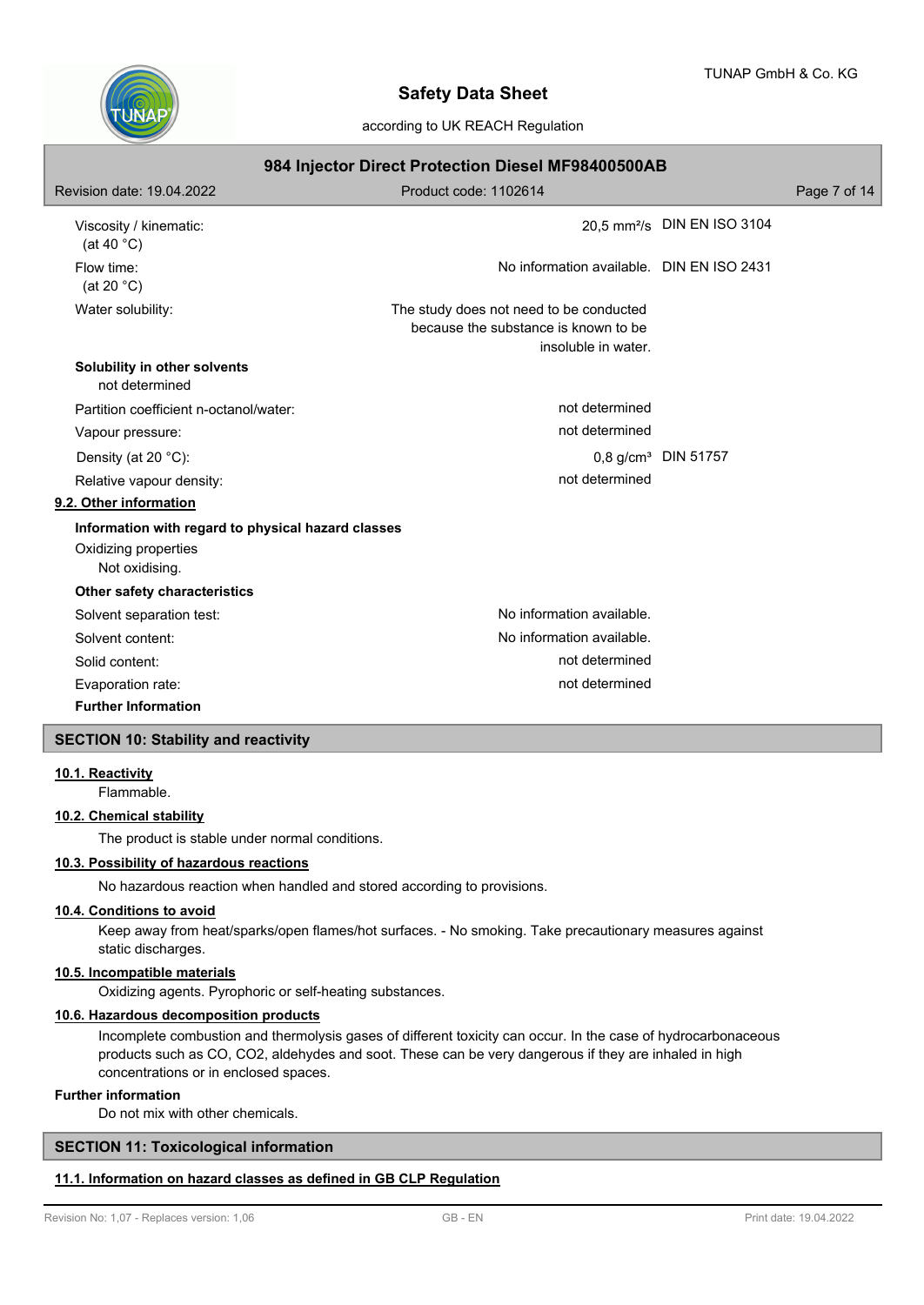

according to UK REACH Regulation

| 984 Injector Direct Protection Diesel MF98400500AB |                                                                                                        |                                         |              |  |
|----------------------------------------------------|--------------------------------------------------------------------------------------------------------|-----------------------------------------|--------------|--|
| Revision date: 19.04.2022                          | Product code: 1102614                                                                                  |                                         | Page 7 of 14 |  |
| Viscosity / kinematic:<br>(at 40 $°C$ )            |                                                                                                        | 20,5 mm <sup>2</sup> /s DIN EN ISO 3104 |              |  |
| Flow time:<br>(at 20 $°C$ )                        | No information available. DIN EN ISO 2431                                                              |                                         |              |  |
| Water solubility:                                  | The study does not need to be conducted<br>because the substance is known to be<br>insoluble in water. |                                         |              |  |
| Solubility in other solvents<br>not determined     |                                                                                                        |                                         |              |  |
| Partition coefficient n-octanol/water:             | not determined                                                                                         |                                         |              |  |
| Vapour pressure:                                   | not determined                                                                                         |                                         |              |  |
| Density (at 20 °C):                                |                                                                                                        | $0.8$ g/cm <sup>3</sup> DIN 51757       |              |  |
| Relative vapour density:                           | not determined                                                                                         |                                         |              |  |
| 9.2. Other information                             |                                                                                                        |                                         |              |  |
| Information with regard to physical hazard classes |                                                                                                        |                                         |              |  |
| Oxidizing properties<br>Not oxidising.             |                                                                                                        |                                         |              |  |
| Other safety characteristics                       |                                                                                                        |                                         |              |  |
| Solvent separation test:                           | No information available.                                                                              |                                         |              |  |
| Solvent content:                                   | No information available.                                                                              |                                         |              |  |
| Solid content:                                     | not determined                                                                                         |                                         |              |  |
| Evaporation rate:                                  | not determined                                                                                         |                                         |              |  |
| <b>Further Information</b>                         |                                                                                                        |                                         |              |  |
| <b>SECTION 10: Stability and reactivity</b>        |                                                                                                        |                                         |              |  |

### **10.1. Reactivity**

Flammable.

# **10.2. Chemical stability**

The product is stable under normal conditions.

# **10.3. Possibility of hazardous reactions**

No hazardous reaction when handled and stored according to provisions.

# **10.4. Conditions to avoid**

Keep away from heat/sparks/open flames/hot surfaces. - No smoking. Take precautionary measures against static discharges.

# **10.5. Incompatible materials**

Oxidizing agents. Pyrophoric or self-heating substances.

#### **10.6. Hazardous decomposition products**

Incomplete combustion and thermolysis gases of different toxicity can occur. In the case of hydrocarbonaceous products such as CO, CO2, aldehydes and soot. These can be very dangerous if they are inhaled in high concentrations or in enclosed spaces.

#### **Further information**

Do not mix with other chemicals.

# **SECTION 11: Toxicological information**

## **11.1. Information on hazard classes as defined in GB CLP Regulation**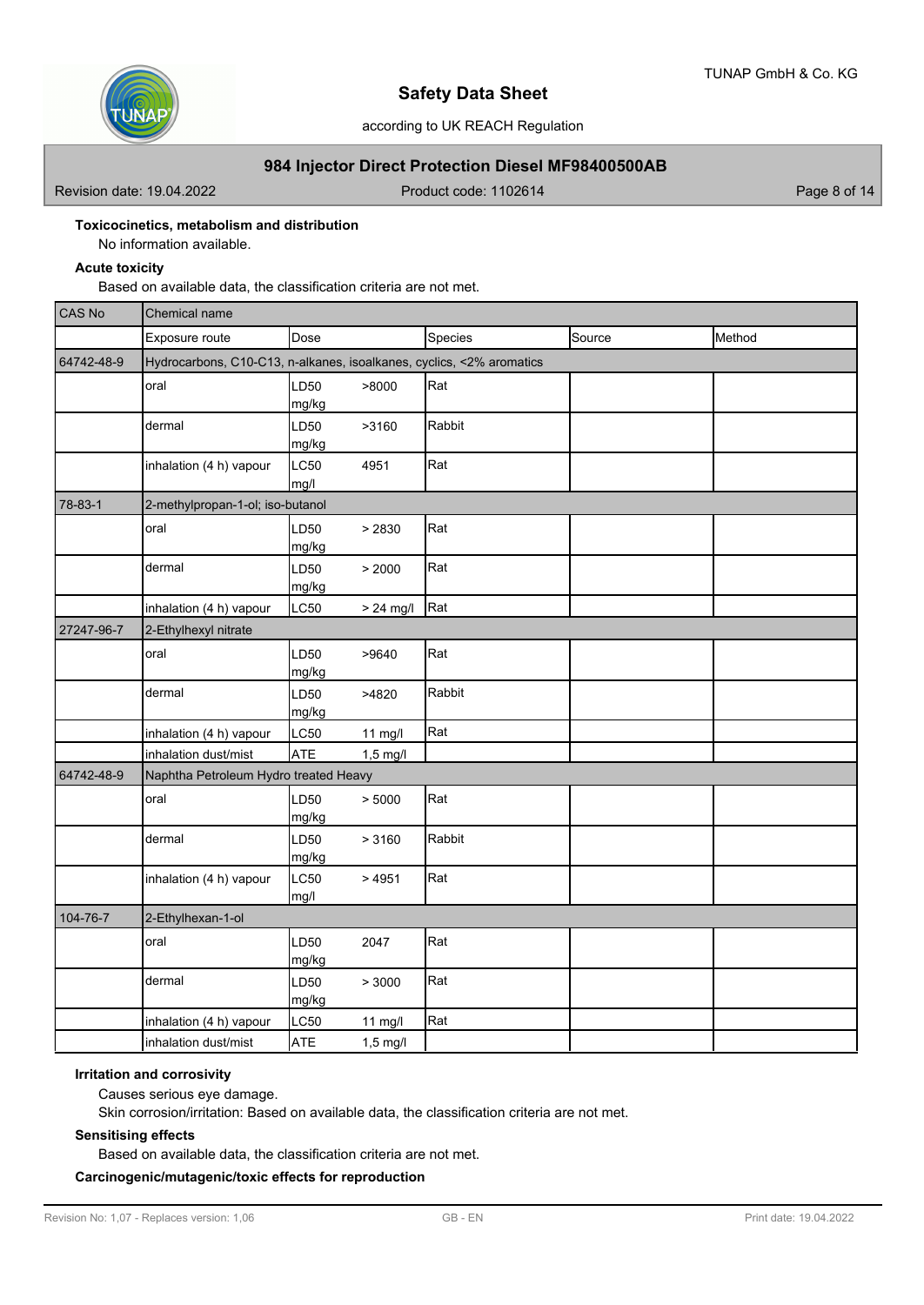

# **984 Injector Direct Protection Diesel MF98400500AB**

Revision date: 19.04.2022 **Product code: 1102614** Page 8 of 14

# **Toxicocinetics, metabolism and distribution**

No information available.

#### **Acute toxicity**

Based on available data, the classification criteria are not met.

| CAS No     | Chemical name                                                        |               |             |         |        |        |
|------------|----------------------------------------------------------------------|---------------|-------------|---------|--------|--------|
|            | Exposure route                                                       | Dose          |             | Species | Source | Method |
| 64742-48-9 | Hydrocarbons, C10-C13, n-alkanes, isoalkanes, cyclics, <2% aromatics |               |             |         |        |        |
|            | oral                                                                 | LD50<br>mg/kg | >8000       | Rat     |        |        |
|            | dermal                                                               | LD50<br>mg/kg | >3160       | Rabbit  |        |        |
|            | inhalation (4 h) vapour                                              | LC50<br>mg/l  | 4951        | Rat     |        |        |
| 78-83-1    | 2-methylpropan-1-ol; iso-butanol                                     |               |             |         |        |        |
|            | oral                                                                 | LD50<br>mg/kg | > 2830      | Rat     |        |        |
|            | dermal                                                               | LD50<br>mg/kg | > 2000      | Rat     |        |        |
|            | inhalation (4 h) vapour                                              | LC50          | $> 24$ mg/l | Rat     |        |        |
| 27247-96-7 | 2-Ethylhexyl nitrate                                                 |               |             |         |        |        |
|            | oral                                                                 | LD50<br>mg/kg | >9640       | Rat     |        |        |
|            | dermal                                                               | LD50<br>mg/kg | >4820       | Rabbit  |        |        |
|            | inhalation (4 h) vapour                                              | <b>LC50</b>   | $11$ mg/l   | Rat     |        |        |
|            | inhalation dust/mist                                                 | <b>ATE</b>    | $1,5$ mg/l  |         |        |        |
| 64742-48-9 | Naphtha Petroleum Hydro treated Heavy                                |               |             |         |        |        |
|            | oral                                                                 | LD50<br>mg/kg | > 5000      | Rat     |        |        |
|            | dermal                                                               | LD50<br>mg/kg | > 3160      | Rabbit  |        |        |
|            | inhalation (4 h) vapour                                              | LC50<br>mg/l  | >4951       | Rat     |        |        |
| 104-76-7   | 2-Ethylhexan-1-ol                                                    |               |             |         |        |        |
|            | oral                                                                 | LD50<br>mg/kg | 2047        | Rat     |        |        |
|            | dermal                                                               | LD50<br>mg/kg | > 3000      | Rat     |        |        |
|            | inhalation (4 h) vapour                                              | <b>LC50</b>   | 11 mg/l     | Rat     |        |        |
|            | inhalation dust/mist                                                 | <b>ATE</b>    | $1,5$ mg/l  |         |        |        |

#### **Irritation and corrosivity**

Causes serious eye damage.

Skin corrosion/irritation: Based on available data, the classification criteria are not met.

### **Sensitising effects**

Based on available data, the classification criteria are not met.

# **Carcinogenic/mutagenic/toxic effects for reproduction**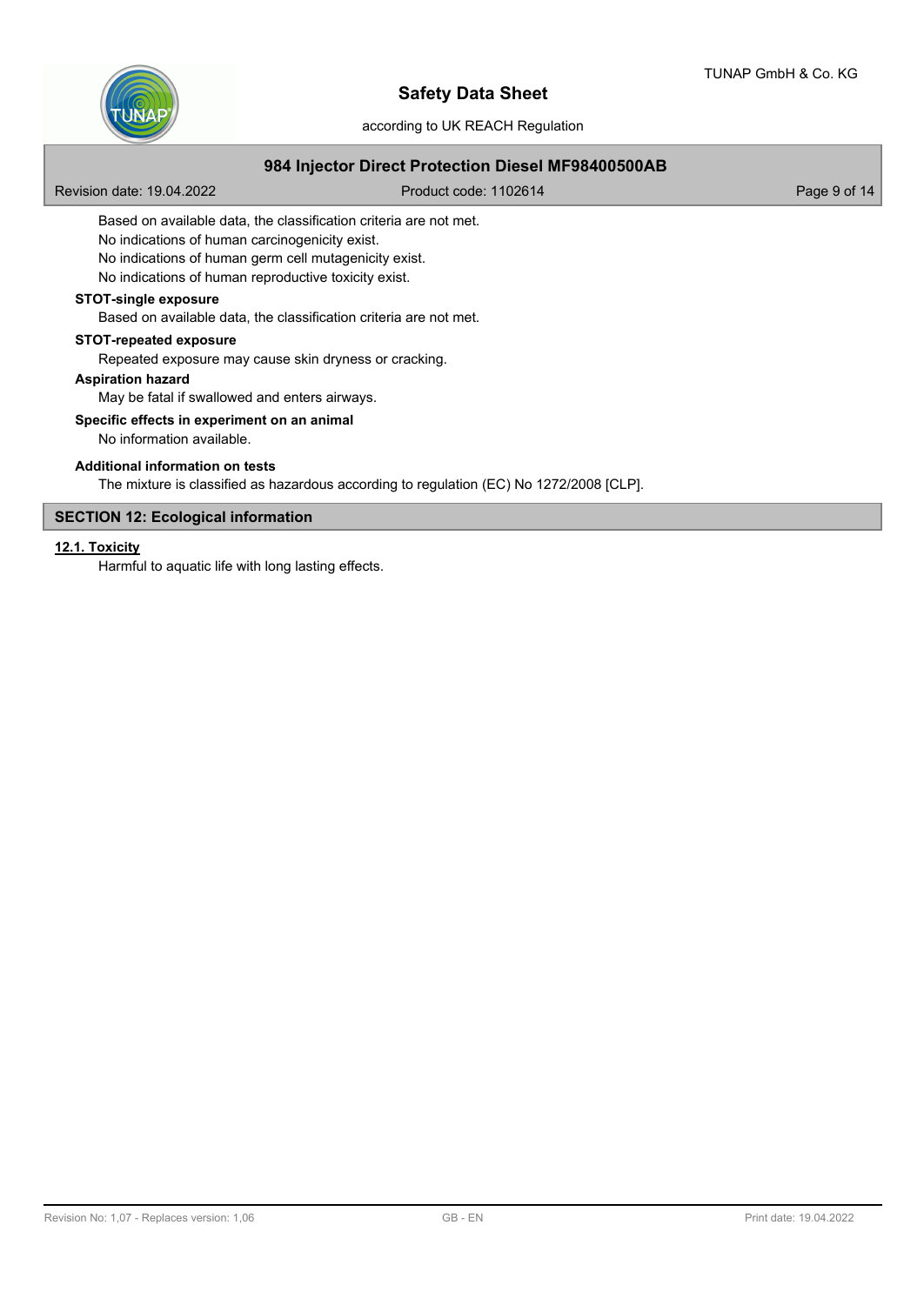

according to UK REACH Regulation

# **984 Injector Direct Protection Diesel MF98400500AB**

Revision date: 19.04.2022 **Product code: 1102614** Page 9 of 14

Based on available data, the classification criteria are not met.

No indications of human carcinogenicity exist.

No indications of human germ cell mutagenicity exist.

No indications of human reproductive toxicity exist.

## **STOT-single exposure**

Based on available data, the classification criteria are not met.

#### **STOT-repeated exposure**

Repeated exposure may cause skin dryness or cracking.

### **Aspiration hazard**

May be fatal if swallowed and enters airways.

#### **Specific effects in experiment on an animal**

No information available.

### **Additional information on tests**

The mixture is classified as hazardous according to regulation (EC) No 1272/2008 [CLP].

# **SECTION 12: Ecological information**

## **12.1. Toxicity**

Harmful to aquatic life with long lasting effects.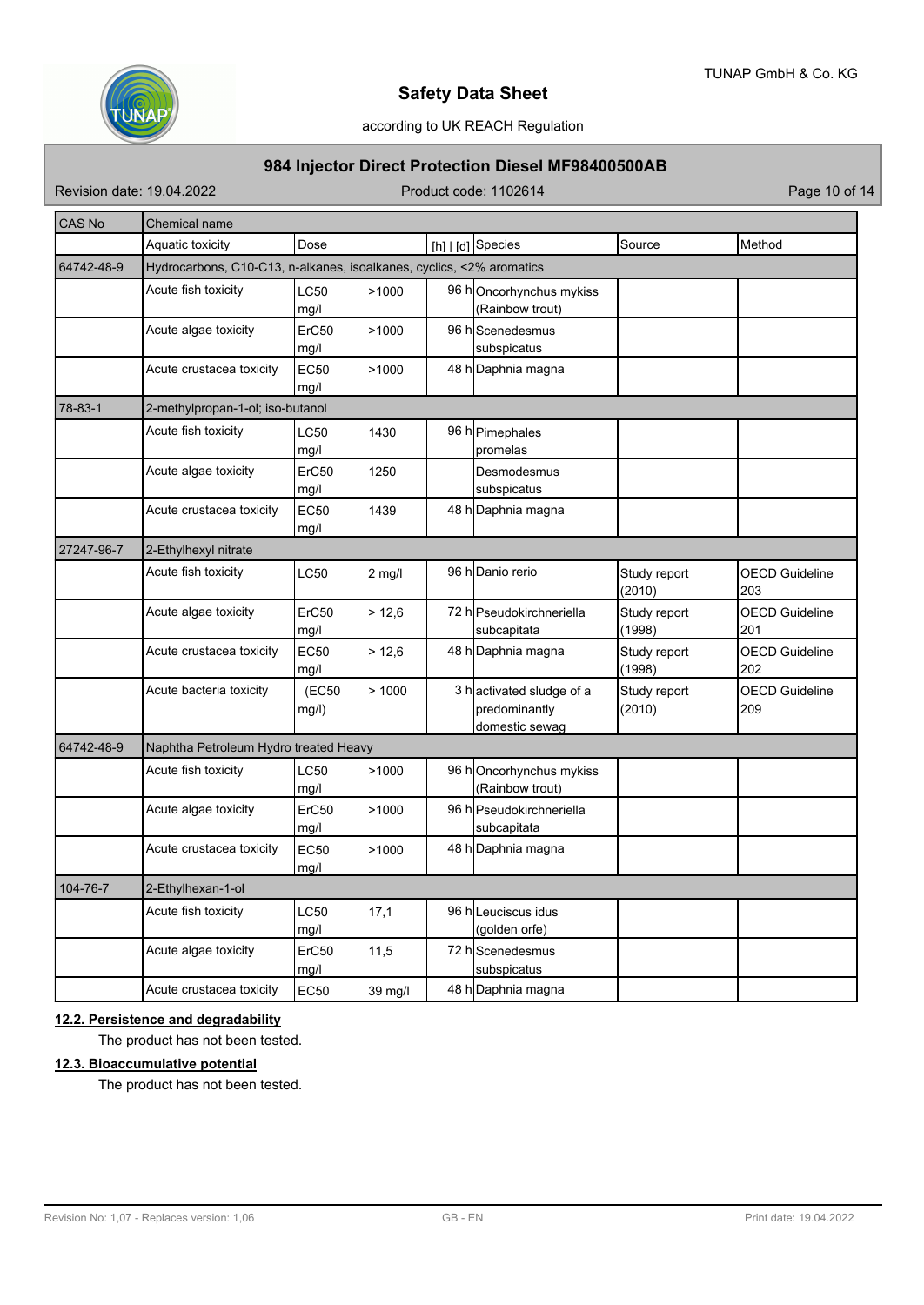

# according to UK REACH Regulation

# **984 Injector Direct Protection Diesel MF98400500AB**

Revision date: 19.04.2022 Product code: 1102614 Page 10 of 14

| CAS No     | Chemical name                                                        |                                  |                  |  |                                                             |                        |                              |  |  |
|------------|----------------------------------------------------------------------|----------------------------------|------------------|--|-------------------------------------------------------------|------------------------|------------------------------|--|--|
|            | Aquatic toxicity                                                     | Dose                             |                  |  | [h]   [d] Species                                           | Source                 | Method                       |  |  |
| 64742-48-9 | Hydrocarbons, C10-C13, n-alkanes, isoalkanes, cyclics, <2% aromatics |                                  |                  |  |                                                             |                        |                              |  |  |
|            | Acute fish toxicity                                                  | LC50<br>mg/l                     | >1000            |  | 96 hOncorhynchus mykiss<br>(Rainbow trout)                  |                        |                              |  |  |
|            | Acute algae toxicity                                                 | ErC50<br>mg/l                    | >1000            |  | 96 h Scenedesmus<br>subspicatus                             |                        |                              |  |  |
|            | Acute crustacea toxicity                                             | EC50<br>mg/l                     | >1000            |  | 48 h Daphnia magna                                          |                        |                              |  |  |
| 78-83-1    |                                                                      | 2-methylpropan-1-ol; iso-butanol |                  |  |                                                             |                        |                              |  |  |
|            | Acute fish toxicity                                                  | LC50<br>mg/l                     | 1430             |  | 96 h Pimephales<br>promelas                                 |                        |                              |  |  |
|            | Acute algae toxicity                                                 | ErC50<br>mg/l                    | 1250             |  | Desmodesmus<br>subspicatus                                  |                        |                              |  |  |
|            | Acute crustacea toxicity                                             | EC50<br>mg/l                     | 1439             |  | 48 h Daphnia magna                                          |                        |                              |  |  |
| 27247-96-7 | 2-Ethylhexyl nitrate                                                 |                                  |                  |  |                                                             |                        |                              |  |  |
|            | Acute fish toxicity                                                  | LC50                             | $2 \text{ mg/l}$ |  | 96 h <sub>Danio</sub> rerio                                 | Study report<br>(2010) | <b>OECD Guideline</b><br>203 |  |  |
|            | Acute algae toxicity                                                 | ErC50<br>mg/l                    | > 12,6           |  | 72 h Pseudokirchneriella<br>subcapitata                     | Study report<br>(1998) | <b>OECD Guideline</b><br>201 |  |  |
|            | Acute crustacea toxicity                                             | <b>EC50</b><br>mg/l              | > 12,6           |  | 48 h Daphnia magna                                          | Study report<br>(1998) | <b>OECD Guideline</b><br>202 |  |  |
|            | Acute bacteria toxicity                                              | (EC50<br>mg/l)                   | >1000            |  | 3 hactivated sludge of a<br>predominantly<br>domestic sewag | Study report<br>(2010) | <b>OECD Guideline</b><br>209 |  |  |
| 64742-48-9 | Naphtha Petroleum Hydro treated Heavy                                |                                  |                  |  |                                                             |                        |                              |  |  |
|            | Acute fish toxicity                                                  | LC50<br>mg/l                     | >1000            |  | 96 hOncorhynchus mykiss<br>(Rainbow trout)                  |                        |                              |  |  |
|            | Acute algae toxicity                                                 | ErC50<br>mg/l                    | >1000            |  | 96 h Pseudokirchneriella<br>subcapitata                     |                        |                              |  |  |
|            | Acute crustacea toxicity                                             | EC50<br>mg/l                     | >1000            |  | 48 h Daphnia magna                                          |                        |                              |  |  |
| 104-76-7   | 2-Ethylhexan-1-ol                                                    |                                  |                  |  |                                                             |                        |                              |  |  |
|            | Acute fish toxicity                                                  | LC50<br>mg/l                     | 17,1             |  | 96 hlLeuciscus idus<br>(golden orfe)                        |                        |                              |  |  |
|            | Acute algae toxicity                                                 | ErC50<br>mg/l                    | 11,5             |  | 72 hScenedesmus<br>subspicatus                              |                        |                              |  |  |
|            | Acute crustacea toxicity                                             | <b>EC50</b>                      | 39 mg/l          |  | 48 h Daphnia magna                                          |                        |                              |  |  |

# **12.2. Persistence and degradability**

The product has not been tested.

# **12.3. Bioaccumulative potential**

The product has not been tested.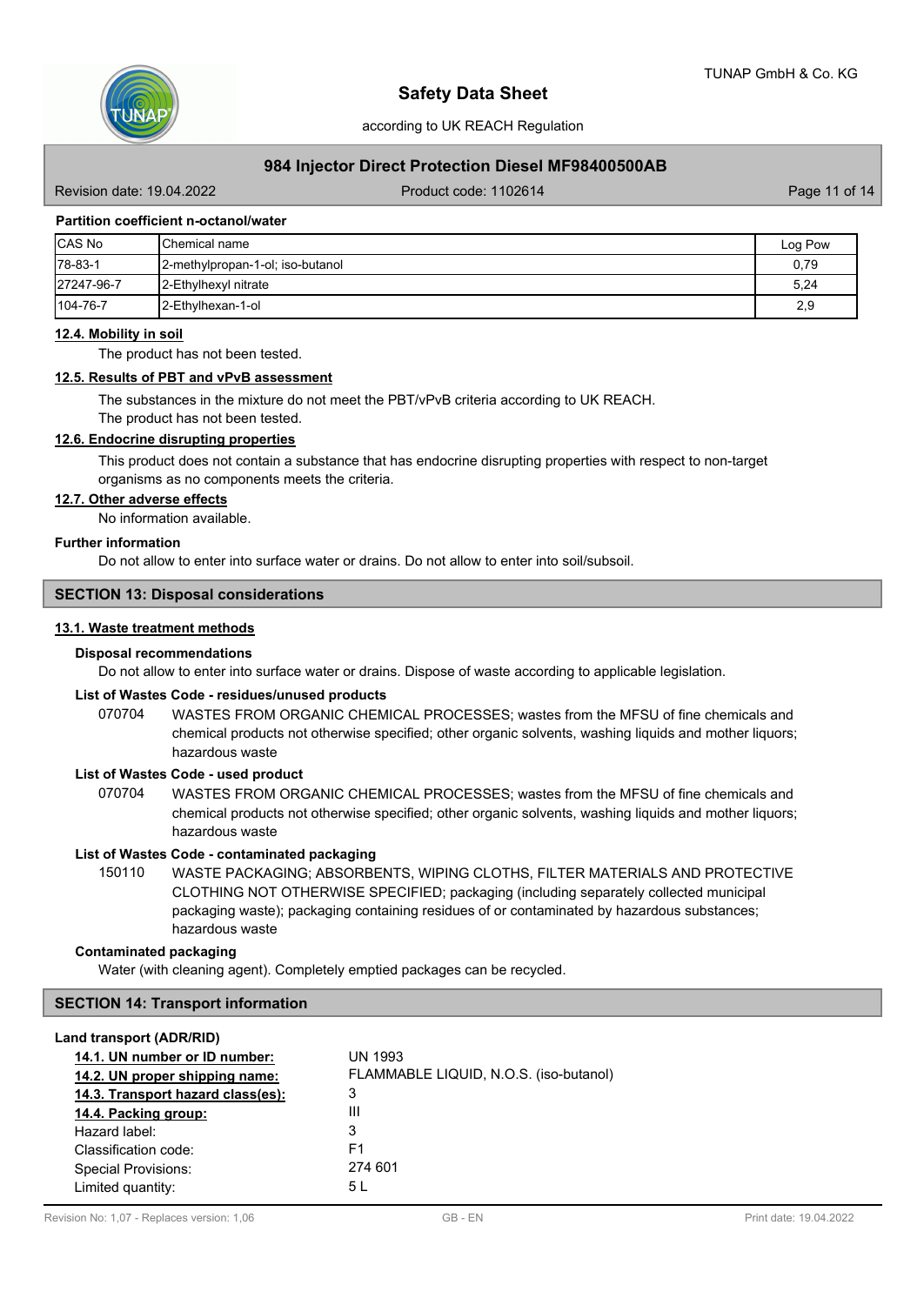

## **984 Injector Direct Protection Diesel MF98400500AB**

Revision date: 19.04.2022 **Product code: 1102614** Product code: 1102614

## **Partition coefficient n-octanol/water**

| <b>CAS No</b> | <b>I</b> Chemical name             | Log Pow |
|---------------|------------------------------------|---------|
| $ 78-83-1$    | [2-methylpropan-1-ol; iso-butanol] | 0,79    |
| 27247-96-7    | <b>12-Ethylhexyl nitrate</b>       | 5,24    |
| 104-76-7      | <b>12-Ethylhexan-1-ol</b>          | 2,9     |

#### **12.4. Mobility in soil**

The product has not been tested.

#### **12.5. Results of PBT and vPvB assessment**

The substances in the mixture do not meet the PBT/vPvB criteria according to UK REACH. The product has not been tested.

#### **12.6. Endocrine disrupting properties**

This product does not contain a substance that has endocrine disrupting properties with respect to non-target organisms as no components meets the criteria.

#### **12.7. Other adverse effects**

No information available.

## **Further information**

Do not allow to enter into surface water or drains. Do not allow to enter into soil/subsoil.

# **SECTION 13: Disposal considerations**

### **13.1. Waste treatment methods**

#### **Disposal recommendations**

Do not allow to enter into surface water or drains. Dispose of waste according to applicable legislation.

### **List of Wastes Code - residues/unused products**

070704 WASTES FROM ORGANIC CHEMICAL PROCESSES; wastes from the MFSU of fine chemicals and chemical products not otherwise specified; other organic solvents, washing liquids and mother liquors; hazardous waste

#### **List of Wastes Code - used product**

WASTES FROM ORGANIC CHEMICAL PROCESSES; wastes from the MFSU of fine chemicals and chemical products not otherwise specified; other organic solvents, washing liquids and mother liquors; hazardous waste 070704

#### **List of Wastes Code - contaminated packaging**

WASTE PACKAGING; ABSORBENTS, WIPING CLOTHS, FILTER MATERIALS AND PROTECTIVE CLOTHING NOT OTHERWISE SPECIFIED; packaging (including separately collected municipal packaging waste); packaging containing residues of or contaminated by hazardous substances; hazardous waste 150110

#### **Contaminated packaging**

Water (with cleaning agent). Completely emptied packages can be recycled.

#### **SECTION 14: Transport information**

#### **Land transport (ADR/RID)**

| UN 1993<br>FLAMMABLE LIQUID, N.O.S. (iso-butanol) |
|---------------------------------------------------|
| 3                                                 |
| Ш                                                 |
| 3                                                 |
| F1                                                |
| 274 601                                           |
| 5 L                                               |
|                                                   |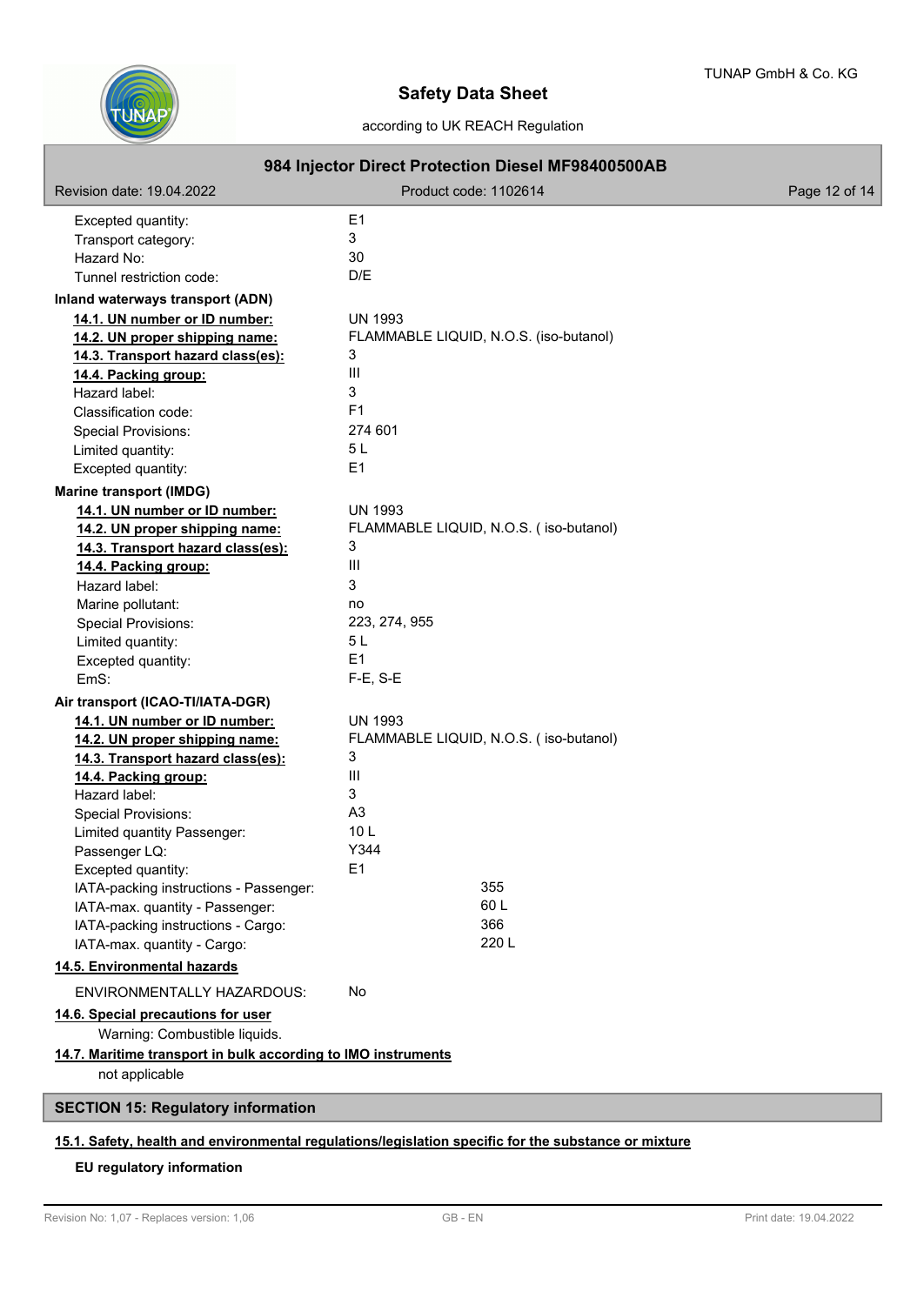

# according to UK REACH Regulation

|                                                                                 |                       | 984 Injector Direct Protection Diesel MF98400500AB |               |
|---------------------------------------------------------------------------------|-----------------------|----------------------------------------------------|---------------|
| Revision date: 19.04.2022                                                       | Product code: 1102614 |                                                    | Page 12 of 14 |
| Excepted quantity:                                                              | E1                    |                                                    |               |
| Transport category:                                                             | 3                     |                                                    |               |
| Hazard No:                                                                      | 30                    |                                                    |               |
| Tunnel restriction code:                                                        | D/E                   |                                                    |               |
| Inland waterways transport (ADN)                                                |                       |                                                    |               |
| 14.1. UN number or ID number:                                                   | <b>UN 1993</b>        |                                                    |               |
| 14.2. UN proper shipping name:                                                  |                       | FLAMMABLE LIQUID, N.O.S. (iso-butanol)             |               |
| 14.3. Transport hazard class(es):                                               | 3                     |                                                    |               |
| 14.4. Packing group:                                                            | III                   |                                                    |               |
| Hazard label:                                                                   | 3                     |                                                    |               |
| Classification code:                                                            | F <sub>1</sub>        |                                                    |               |
| <b>Special Provisions:</b>                                                      | 274 601               |                                                    |               |
| Limited quantity:                                                               | 5L                    |                                                    |               |
| Excepted quantity:                                                              | E1                    |                                                    |               |
| <b>Marine transport (IMDG)</b>                                                  |                       |                                                    |               |
| 14.1. UN number or ID number:                                                   | <b>UN 1993</b>        |                                                    |               |
| 14.2. UN proper shipping name:                                                  |                       | FLAMMABLE LIQUID, N.O.S. (iso-butanol)             |               |
| 14.3. Transport hazard class(es):                                               | 3                     |                                                    |               |
| 14.4. Packing group:                                                            | Ш                     |                                                    |               |
| Hazard label:                                                                   | 3                     |                                                    |               |
| Marine pollutant:                                                               | no                    |                                                    |               |
| <b>Special Provisions:</b>                                                      | 223, 274, 955         |                                                    |               |
| Limited quantity:                                                               | 5L                    |                                                    |               |
| Excepted quantity:                                                              | E1                    |                                                    |               |
| EmS:                                                                            | $F-E$ , S-E           |                                                    |               |
| Air transport (ICAO-TI/IATA-DGR)                                                |                       |                                                    |               |
| 14.1. UN number or ID number:                                                   | <b>UN 1993</b>        |                                                    |               |
| 14.2. UN proper shipping name:                                                  |                       | FLAMMABLE LIQUID, N.O.S. (iso-butanol)             |               |
| 14.3. Transport hazard class(es):                                               | 3                     |                                                    |               |
| 14.4. Packing group:                                                            | III                   |                                                    |               |
| Hazard label:                                                                   | 3                     |                                                    |               |
| <b>Special Provisions:</b>                                                      | A <sub>3</sub>        |                                                    |               |
| Limited quantity Passenger:                                                     | 10 <sub>L</sub>       |                                                    |               |
| Passenger LQ:                                                                   | Y344                  |                                                    |               |
| Excepted quantity:                                                              | E1                    |                                                    |               |
| IATA-packing instructions - Passenger:                                          |                       | 355                                                |               |
| IATA-max. quantity - Passenger:                                                 |                       | 60L                                                |               |
| IATA-packing instructions - Cargo:                                              |                       | 366                                                |               |
| IATA-max. quantity - Cargo:                                                     |                       | 220L                                               |               |
| 14.5. Environmental hazards                                                     |                       |                                                    |               |
| ENVIRONMENTALLY HAZARDOUS:                                                      | No.                   |                                                    |               |
| 14.6. Special precautions for user<br>Warning: Combustible liquids.             |                       |                                                    |               |
| 14.7. Maritime transport in bulk according to IMO instruments<br>not applicable |                       |                                                    |               |
| <b>SECTION 15: Regulatory information</b>                                       |                       |                                                    |               |
|                                                                                 |                       |                                                    |               |

# **15.1. Safety, health and environmental regulations/legislation specific for the substance or mixture**

# **EU regulatory information**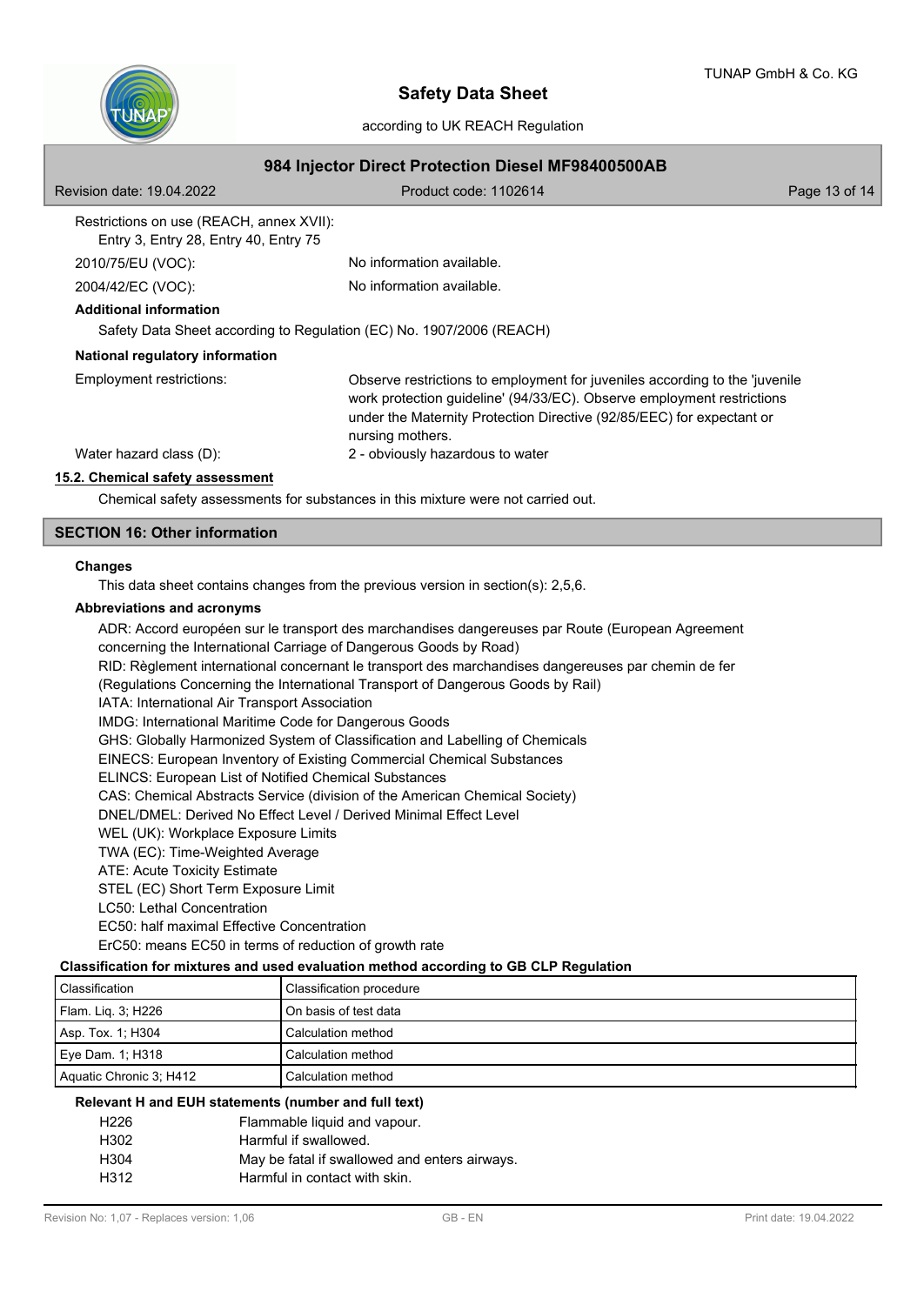

according to UK REACH Regulation

|  |  |  | 984 Injector Direct Protection Diesel MF98400500AB |  |  |  |
|--|--|--|----------------------------------------------------|--|--|--|
|--|--|--|----------------------------------------------------|--|--|--|

| Revision date: 19.04.2022                                                         | Product code: 1102614                                                                                                                                                                                                                              | Page 13 of 14 |  |  |  |
|-----------------------------------------------------------------------------------|----------------------------------------------------------------------------------------------------------------------------------------------------------------------------------------------------------------------------------------------------|---------------|--|--|--|
| Restrictions on use (REACH, annex XVII):<br>Entry 3, Entry 28, Entry 40, Entry 75 |                                                                                                                                                                                                                                                    |               |  |  |  |
| 2010/75/EU (VOC):                                                                 | No information available.                                                                                                                                                                                                                          |               |  |  |  |
| 2004/42/EC (VOC):                                                                 | No information available.                                                                                                                                                                                                                          |               |  |  |  |
| <b>Additional information</b>                                                     |                                                                                                                                                                                                                                                    |               |  |  |  |
| Safety Data Sheet according to Regulation (EC) No. 1907/2006 (REACH)              |                                                                                                                                                                                                                                                    |               |  |  |  |
| National regulatory information                                                   |                                                                                                                                                                                                                                                    |               |  |  |  |
| Employment restrictions:                                                          | Observe restrictions to employment for juveniles according to the 'juvenile<br>work protection guideline' (94/33/EC). Observe employment restrictions<br>under the Maternity Protection Directive (92/85/EEC) for expectant or<br>nursing mothers. |               |  |  |  |
| Water hazard class (D):                                                           | 2 - obviously hazardous to water                                                                                                                                                                                                                   |               |  |  |  |
| 15.2. Chemical safety assessment                                                  |                                                                                                                                                                                                                                                    |               |  |  |  |
|                                                                                   | Chemical safety assessments for substances in this mixture were not carried out.                                                                                                                                                                   |               |  |  |  |

## **SECTION 16: Other information**

#### **Changes**

This data sheet contains changes from the previous version in section(s): 2,5,6.

## **Abbreviations and acronyms**

ADR: Accord européen sur le transport des marchandises dangereuses par Route (European Agreement concerning the International Carriage of Dangerous Goods by Road) RID: Règlement international concernant le transport des marchandises dangereuses par chemin de fer (Regulations Concerning the International Transport of Dangerous Goods by Rail) IATA: International Air Transport Association IMDG: International Maritime Code for Dangerous Goods GHS: Globally Harmonized System of Classification and Labelling of Chemicals EINECS: European Inventory of Existing Commercial Chemical Substances ELINCS: European List of Notified Chemical Substances CAS: Chemical Abstracts Service (division of the American Chemical Society) DNEL/DMEL: Derived No Effect Level / Derived Minimal Effect Level WEL (UK): Workplace Exposure Limits TWA (EC): Time-Weighted Average ATE: Acute Toxicity Estimate STEL (EC) Short Term Exposure Limit LC50: Lethal Concentration EC50: half maximal Effective Concentration ErC50: means EC50 in terms of reduction of growth rate

## **Classification for mixtures and used evaluation method according to GB CLP Regulation**

| <sup>l</sup> Classification | Classification procedure |
|-----------------------------|--------------------------|
| Flam. Liq. 3; H226          | On basis of test data    |
| Asp. Tox. 1; H304           | Calculation method       |
| Eye Dam. 1; H318            | Calculation method       |
| Aquatic Chronic 3; H412     | Calculation method       |

# **Relevant H and EUH statements (number and full text)**

| H226 | Flammable liquid and vapour.                  |
|------|-----------------------------------------------|
| H302 | Harmful if swallowed.                         |
| H304 | May be fatal if swallowed and enters airways. |
| H312 | Harmful in contact with skin.                 |